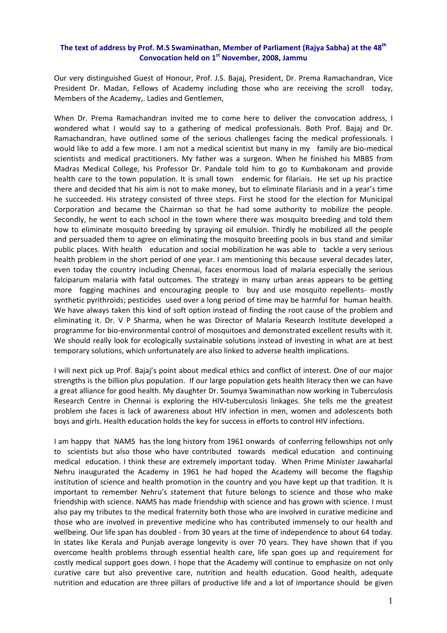## **The text of address by Prof. M.S Swaminathan, Member of Parliament (Rajya Sabha) at the 48th Convocation held on 1st November, 2008, Jammu**

Our very distinguished Guest of Honour, Prof. J.S. Bajaj, President, Dr. Prema Ramachandran, Vice President Dr. Madan, Fellows of Academy including those who are receiving the scroll today, Members of the Academy,. Ladies and Gentlemen,

When Dr. Prema Ramachandran invited me to come here to deliver the convocation address, I wondered what I would say to a gathering of medical professionals. Both Prof. Bajaj and Dr. Ramachandran, have outlined some of the serious challenges facing the medical professionals. I would like to add a few more. I am not a medical scientist but many in my family are bio-medical scientists and medical practitioners. My father was a surgeon. When he finished his MBBS from Madras Medical College, his Professor Dr. Pandale told him to go to Kumbakonam and provide health care to the town population. It is small town endemic for filariais. He set up his practice there and decided that his aim is not to make money, but to eliminate filariasis and in a year's time he succeeded. His strategy consisted of three steps. First he stood for the election for Municipal Corporation and became the Chairman so that he had some authority to mobilize the people. Secondly, he went to each school in the town where there was mosquito breeding and told them how to eliminate mosquito breeding by spraying oil emulsion. Thirdly he mobilized all the people and persuaded them to agree on eliminating the mosquito breeding pools in bus stand and similar public places. With health education and social mobilization he was able to tackle a very serious health problem in the short period of one year. I am mentioning this because several decades later, even today the country including Chennai, faces enormous load of malaria especially the serious falciparum malaria with fatal outcomes. The strategy in many urban areas appears to be getting more fogging machines and encouraging people to buy and use mosquito repellents- mostly synthetic pyrithroids; pesticides used over a long period of time may be harmful for human health. We have always taken this kind of soft option instead of finding the root cause of the problem and eliminating it. Dr. V P Sharma, when he was Director of Malaria Research Institute developed a programme for bio‐environmental control of mosquitoes and demonstrated excellent results with it. We should really look for ecologically sustainable solutions instead of investing in what are at best temporary solutions, which unfortunately are also linked to adverse health implications.

I will next pick up Prof. Bajaj's point about medical ethics and conflict of interest. One of our major strengths is the billion plus population. If our large population gets health literacy then we can have a great alliance for good health. My daughter Dr. Soumya Swaminathan now working in Tuberculosis Research Centre in Chennai is exploring the HIV**‐**tuberculosis linkages. She tells me the greatest problem she faces is lack of awareness about HIV infection in men, women and adolescents both boys and girls. Health education holds the key for success in efforts to control HIV infections.

I am happy that NAMS has the long history from 1961 onwards of conferring fellowships not only to scientists but also those who have contributed towards medical education and continuing medical education. I think these are extremely important today. When Prime Minister Jawaharlal Nehru inaugurated the Academy in 1961 he had hoped the Academy will become the flagship institution of science and health promotion in the country and you have kept up that tradition. It is important to remember Nehru's statement that future belongs to science and those who make friendship with science. NAMS has made friendship with science and has grown with science. I must also pay my tributes to the medical fraternity both those who are involved in curative medicine and those who are involved in preventive medicine who has contributed immensely to our health and wellbeing. Our life span has doubled - from 30 years at the time of independence to about 64 today. In states like Kerala and Punjab average longevity is over 70 years. They have shown that if you overcome health problems through essential health care, life span goes up and requirement for costly medical support goes down. I hope that the Academy will continue to emphasize on not only curative care but also preventive care, nutrition and health education. Good health, adequate nutrition and education are three pillars of productive life and a lot of importance should be given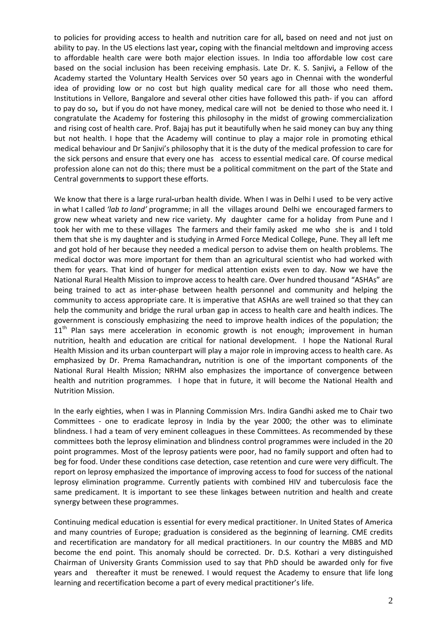to policies for providing access to health and nutrition care for all**,** based on need and not just on ability to pay. In the US elections last year**,** coping with the financial meltdown and improving access to affordable health care were both major election issues. In India too affordable low cost care based on the social inclusion has been receiving emphasis. Late Dr. K. S. Sanjivi**,** a Fellow of the Academy started the Voluntary Health Services over 50 years ago in Chennai with the wonderful idea of providing low or no cost but high quality medical care for all those who need them**.** Institutions in Vellore, Bangalore and several other cities have followed this path‐ if you can afford to pay do so**,** but if you do not have money, medical care will not be denied to those who need it. I congratulate the Academy for fostering this philosophy in the midst of growing commercialization and rising cost of health care. Prof. Bajaj has put it beautifully when he said money can buy any thing but not health. I hope that the Academy will continue to play a major role in promoting ethical medical behaviour and Dr Sanjivi's philosophy that it is the duty of the medical profession to care for the sick persons and ensure that every one has access to essential medical care. Of course medical profession alone can not do this; there must be a political commitment on the part of the State and Central government**s** to support these efforts.

We know that there is a large rural**‐**urban health divide. When I was in Delhi I used to be very active in what I called *'lab to land'* programme; in all the villages around Delhi we encouraged farmers to grow new wheat variety and new rice variety. My daughter came for a holiday from Pune and I took her with me to these villages The farmers and their family asked me who she is and I told them that she is my daughter and is studying in Armed Force Medical College, Pune. They all left me and got hold of her because they needed a medical person to advise them on health problems. The medical doctor was more important for them than an agricultural scientist who had worked with them for years. That kind of hunger for medical attention exists even to day. Now we have the National Rural Health Mission to improve access to health care. Over hundred thousand "ASHAs" are being trained to act as inter‐phase between health personnel and community and helping the community to access appropriate care. It is imperative that ASHAs are well trained so that they can help the community and bridge the rural urban gap in access to health care and health indices. The government is consciously emphasizing the need to improve health indices of the population; the 11<sup>th</sup> Plan says mere acceleration in economic growth is not enough; improvement in human nutrition, health and education are critical for national development. I hope the National Rural Health Mission and its urban counterpart will play a major role in improving access to health care. As emphasized by Dr. Prema Ramachandran**,** nutrition is one of the important components of the National Rural Health Mission; NRHM also emphasizes the importance of convergence between health and nutrition programmes. I hope that in future, it will become the National Health and Nutrition Mission.

In the early eighties, when I was in Planning Commission Mrs. Indira Gandhi asked me to Chair two Committees - one to eradicate leprosy in India by the year 2000; the other was to eliminate blindness. I had a team of very eminent colleagues in these Committees. As recommended by these committees both the leprosy elimination and blindness control programmes were included in the 20 point programmes. Most of the leprosy patients were poor, had no family support and often had to beg for food. Under these conditions case detection, case retention and cure were very difficult. The report on leprosy emphasized the importance of improving access to food for success of the national leprosy elimination programme. Currently patients with combined HIV and tuberculosis face the same predicament. It is important to see these linkages between nutrition and health and create synergy between these programmes.

Continuing medical education is essential for every medical practitioner. In United States of America and many countries of Europe; graduation is considered as the beginning of learning. CME credits and recertification are mandatory for all medical practitioners. In our country the MBBS and MD become the end point. This anomaly should be corrected. Dr. D.S. Kothari a very distinguished Chairman of University Grants Commission used to say that PhD should be awarded only for five years and thereafter it must be renewed. I would request the Academy to ensure that life long learning and recertification become a part of every medical practitioner's life.